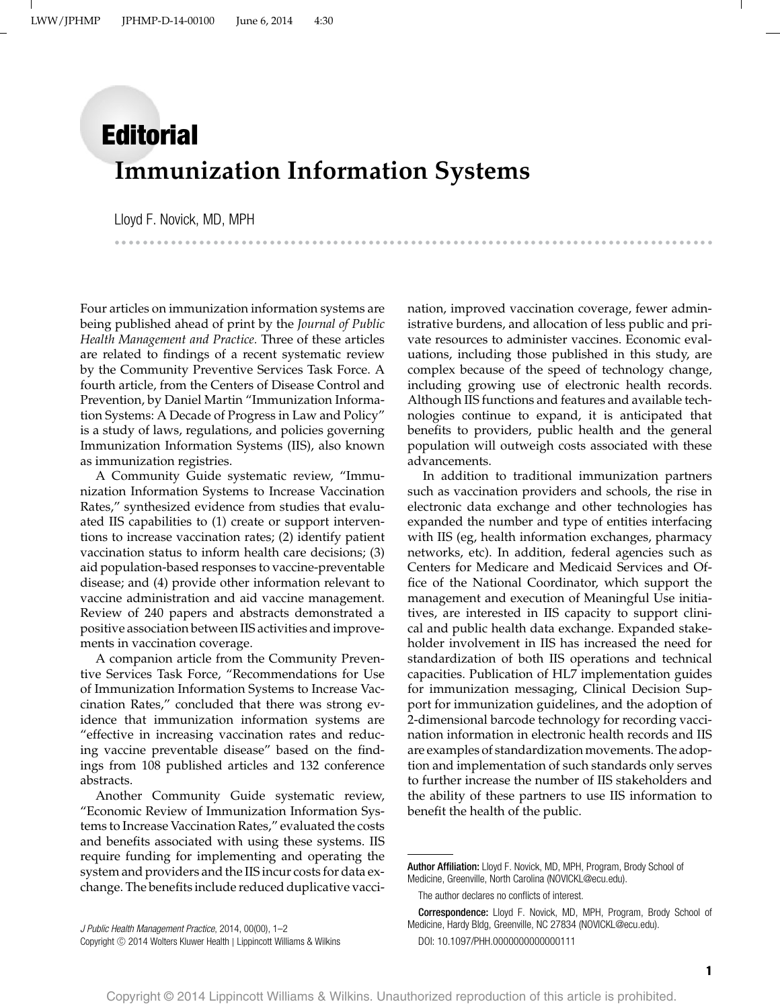## **Editorial Immunization Information Systems**

Lloyd F. Novick, MD, MPH --

--------

---------

Four articles on immunization information systems are being published ahead of print by the *Journal of Public Health Management and Practice.* Three of these articles are related to findings of a recent systematic review by the Community Preventive Services Task Force. A fourth article, from the Centers of Disease Control and Prevention, by Daniel Martin "Immunization Information Systems: A Decade of Progress in Law and Policy" is a study of laws, regulations, and policies governing Immunization Information Systems (IIS), also known as immunization registries.

A Community Guide systematic review, "Immunization Information Systems to Increase Vaccination Rates," synthesized evidence from studies that evaluated IIS capabilities to (1) create or support interventions to increase vaccination rates; (2) identify patient vaccination status to inform health care decisions; (3) aid population-based responses to vaccine-preventable disease; and (4) provide other information relevant to vaccine administration and aid vaccine management. Review of 240 papers and abstracts demonstrated a positive association between IIS activities and improvements in vaccination coverage.

A companion article from the Community Preventive Services Task Force, "Recommendations for Use of Immunization Information Systems to Increase Vaccination Rates," concluded that there was strong evidence that immunization information systems are "effective in increasing vaccination rates and reducing vaccine preventable disease" based on the findings from 108 published articles and 132 conference abstracts.

Another Community Guide systematic review, "Economic Review of Immunization Information Systems to Increase Vaccination Rates," evaluated the costs and benefits associated with using these systems. IIS require funding for implementing and operating the system and providers and the IIS incur costs for data exchange. The benefits include reduced duplicative vaccination, improved vaccination coverage, fewer administrative burdens, and allocation of less public and private resources to administer vaccines. Economic evaluations, including those published in this study, are complex because of the speed of technology change, including growing use of electronic health records. Although IIS functions and features and available technologies continue to expand, it is anticipated that benefits to providers, public health and the general population will outweigh costs associated with these advancements.

-----------------------------------------------------------------

In addition to traditional immunization partners such as vaccination providers and schools, the rise in electronic data exchange and other technologies has expanded the number and type of entities interfacing with IIS (eg, health information exchanges, pharmacy networks, etc). In addition, federal agencies such as Centers for Medicare and Medicaid Services and Office of the National Coordinator, which support the management and execution of Meaningful Use initiatives, are interested in IIS capacity to support clinical and public health data exchange. Expanded stakeholder involvement in IIS has increased the need for standardization of both IIS operations and technical capacities. Publication of HL7 implementation guides for immunization messaging, Clinical Decision Support for immunization guidelines, and the adoption of 2-dimensional barcode technology for recording vaccination information in electronic health records and IIS are examples of standardization movements. The adoption and implementation of such standards only serves to further increase the number of IIS stakeholders and the ability of these partners to use IIS information to benefit the health of the public.

-

Author Affiliation: Lloyd F. Novick, MD, MPH, Program, Brody School of Medicine, Greenville, North Carolina [\(NOVICKL@ecu.edu\)](mailto:NOVICKL@ecu.edu).

The author declares no conflicts of interest.

Correspondence: Lloyd F. Novick, MD, MPH, Program, Brody School of Medicine, Hardy Bldg, Greenville, NC 27834 [\(NOVICKL@ecu.edu\)](mailto:NOVICKL@ecu.edu). DOI: 10.1097/PHH.0000000000000111